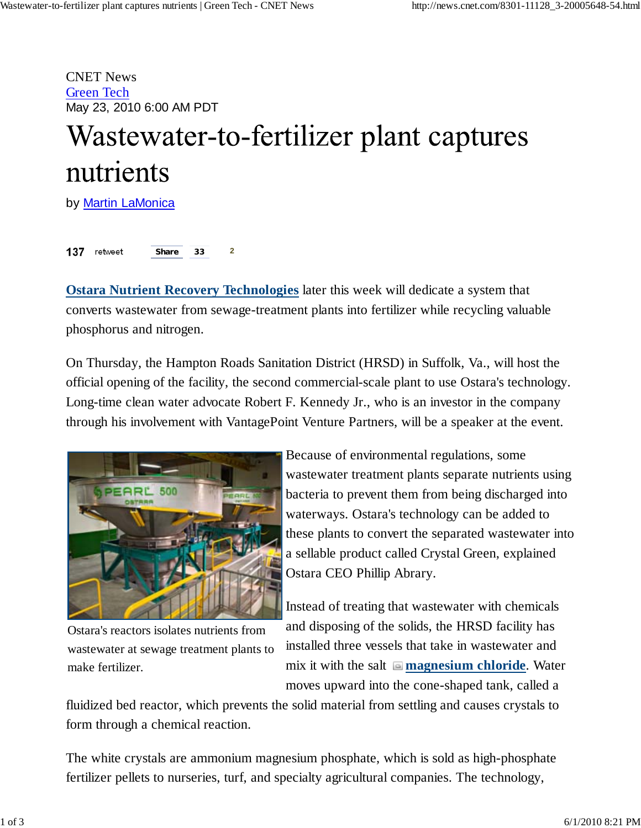CNET News Green Tech May 23, 2010 6:00 AM PDT

## Wastewater-to-fertilizer plant captures nutrients

by Martin LaMonica

137 retweet **2 Share 33**

**Ostara Nutrient Recovery Technologies** later this week will dedicate a system that converts wastewater from sewage-treatment plants into fertilizer while recycling valuable phosphorus and nitrogen.

On Thursday, the Hampton Roads Sanitation District (HRSD) in Suffolk, Va., will host the official opening of the facility, the second commercial-scale plant to use Ostara's technology. Long-time clean water advocate Robert F. Kennedy Jr., who is an investor in the company through his involvement with VantagePoint Venture Partners, will be a speaker at the event.



Ostara's reactors isolates nutrients from wastewater at sewage treatment plants to make fertilizer.

Because of environmental regulations, some wastewater treatment plants separate nutrients using bacteria to prevent them from being discharged into waterways. Ostara's technology can be added to these plants to convert the separated wastewater into a sellable product called Crystal Green, explained Ostara CEO Phillip Abrary.

Instead of treating that wastewater with chemicals and disposing of the solids, the HRSD facility has installed three vessels that take in wastewater and mix it with the salt **magnesium chloride**. Water moves upward into the cone-shaped tank, called a

fluidized bed reactor, which prevents the solid material from settling and causes crystals to form through a chemical reaction.

The white crystals are ammonium magnesium phosphate, which is sold as high-phosphate fertilizer pellets to nurseries, turf, and specialty agricultural companies. The technology,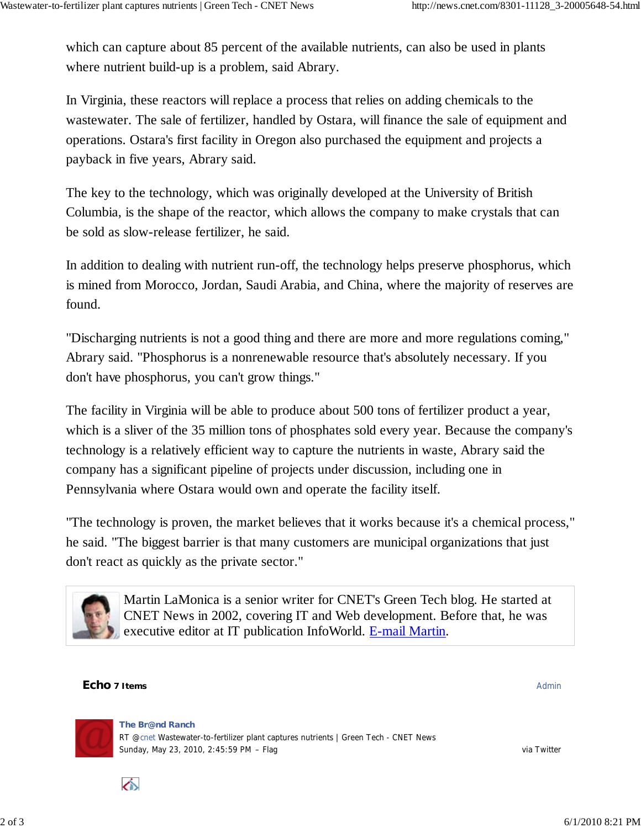which can capture about 85 percent of the available nutrients, can also be used in plants where nutrient build-up is a problem, said Abrary.

In Virginia, these reactors will replace a process that relies on adding chemicals to the wastewater. The sale of fertilizer, handled by Ostara, will finance the sale of equipment and operations. Ostara's first facility in Oregon also purchased the equipment and projects a payback in five years, Abrary said.

The key to the technology, which was originally developed at the University of British Columbia, is the shape of the reactor, which allows the company to make crystals that can be sold as slow-release fertilizer, he said.

In addition to dealing with nutrient run-off, the technology helps preserve phosphorus, which is mined from Morocco, Jordan, Saudi Arabia, and China, where the majority of reserves are found.

"Discharging nutrients is not a good thing and there are more and more regulations coming," Abrary said. "Phosphorus is a nonrenewable resource that's absolutely necessary. If you don't have phosphorus, you can't grow things."

The facility in Virginia will be able to produce about 500 tons of fertilizer product a year, which is a sliver of the 35 million tons of phosphates sold every year. Because the company's technology is a relatively efficient way to capture the nutrients in waste, Abrary said the company has a significant pipeline of projects under discussion, including one in Pennsylvania where Ostara would own and operate the facility itself.

"The technology is proven, the market believes that it works because it's a chemical process," he said. "The biggest barrier is that many customers are municipal organizations that just don't react as quickly as the private sector."



Martin LaMonica is a senior writer for CNET's Green Tech blog. He started at CNET News in 2002, covering IT and Web development. Before that, he was executive editor at IT publication InfoWorld. E-mail Martin.

## **Echo** 7 Items **Administrative Contract Contract Contract Contract Contract Contract Contract Contract Contract Contract Contract Contract Contract Contract Contract Contract Contract Contract Contract Contract Contract Co**

</u>

Sunday, May 23, 2010, 2:45:59 PM – Flag via Twitter via Twitter via Twitter **The Br@nd Ranch** RT @cnet Wastewater-to-fertilizer plant captures nutrients | Green Tech - CNET News